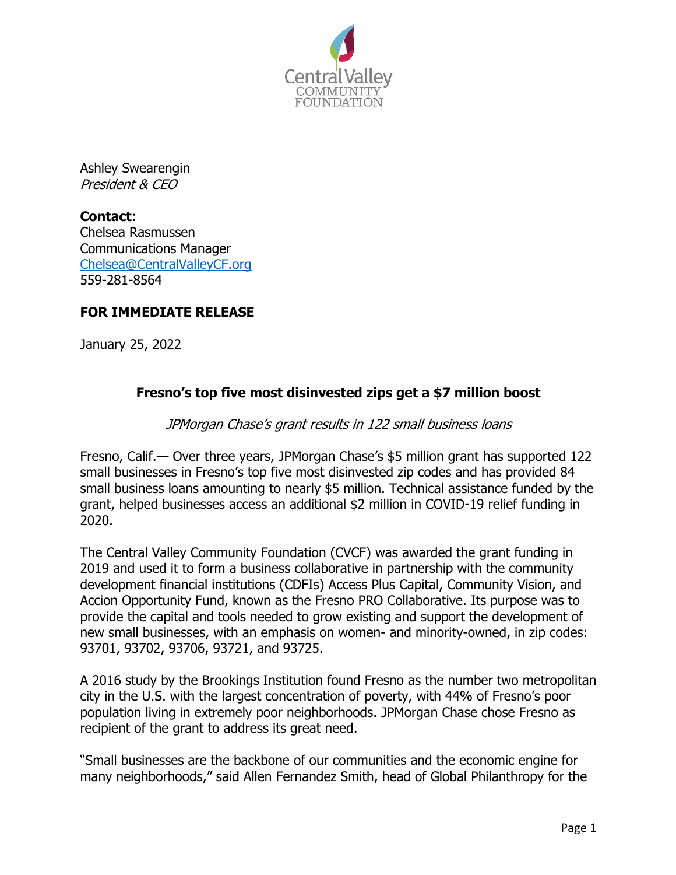

Ashley Swearengin President & CEO

**Contact**: Chelsea Rasmussen Communications Manager Chelsea@CentralValleyCF.org 559-281-8564

## **FOR IMMEDIATE RELEASE**

January 25, 2022

## **Fresno's top five most disinvested zips get a \$7 million boost**

## JPMorgan Chase's grant results in 122 small business loans

Fresno, Calif.— Over three years, JPMorgan Chase's \$5 million grant has supported 122 small businesses in Fresno's top five most disinvested zip codes and has provided 84 small business loans amounting to nearly \$5 million. Technical assistance funded by the grant, helped businesses access an additional \$2 million in COVID-19 relief funding in 2020.

The Central Valley Community Foundation (CVCF) was awarded the grant funding in 2019 and used it to form a business collaborative in partnership with the community development financial institutions (CDFIs) Access Plus Capital, Community Vision, and Accion Opportunity Fund, known as the Fresno PRO Collaborative. Its purpose was to provide the capital and tools needed to grow existing and support the development of new small businesses, with an emphasis on women- and minority-owned, in zip codes: 93701, 93702, 93706, 93721, and 93725.

A 2016 study by the Brookings Institution found Fresno as the number two metropolitan city in the U.S. with the largest concentration of poverty, with 44% of Fresno's poor population living in extremely poor neighborhoods. JPMorgan Chase chose Fresno as recipient of the grant to address its great need.

"Small businesses are the backbone of our communities and the economic engine for many neighborhoods," said Allen Fernandez Smith, head of Global Philanthropy for the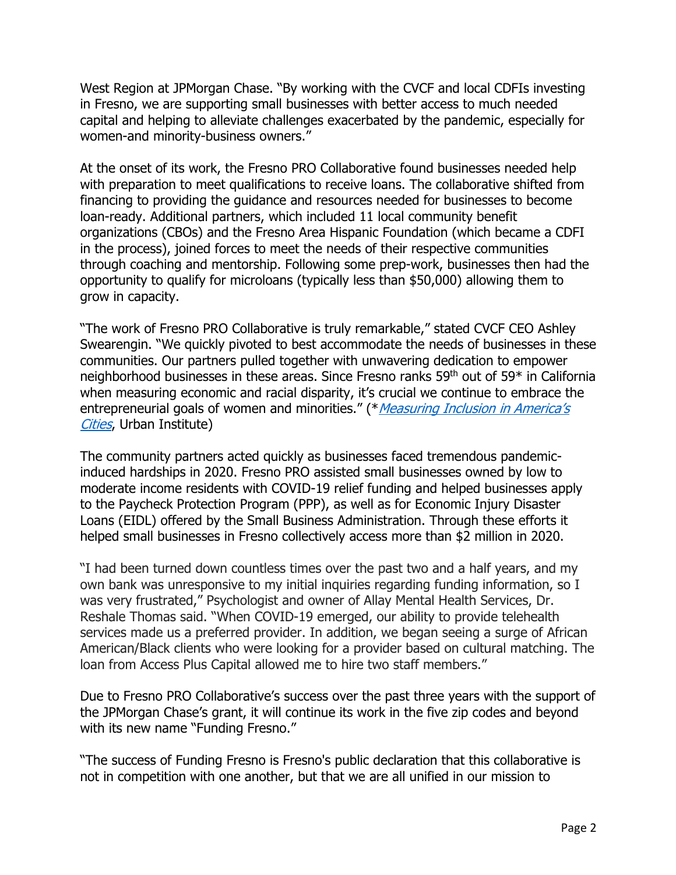West Region at JPMorgan Chase. "By working with the CVCF and local CDFIs investing in Fresno, we are supporting small businesses with better access to much needed capital and helping to alleviate challenges exacerbated by the pandemic, especially for women-and minority-business owners."

At the onset of its work, the Fresno PRO Collaborative found businesses needed help with preparation to meet qualifications to receive loans. The collaborative shifted from financing to providing the guidance and resources needed for businesses to become loan-ready. Additional partners, which included 11 local community benefit organizations (CBOs) and the Fresno Area Hispanic Foundation (which became a CDFI in the process), joined forces to meet the needs of their respective communities through coaching and mentorship. Following some prep-work, businesses then had the opportunity to qualify for microloans (typically less than \$50,000) allowing them to grow in capacity.

"The work of Fresno PRO Collaborative is truly remarkable," stated CVCF CEO Ashley Swearengin. "We quickly pivoted to best accommodate the needs of businesses in these communities. Our partners pulled together with unwavering dedication to empower neighborhood businesses in these areas. Since Fresno ranks 59th out of 59\* in California when measuring economic and racial disparity, it's crucial we continue to embrace the entrepreneurial goals of women and minorities." (\**Measuring Inclusion in America's* Cities, Urban Institute)

The community partners acted quickly as businesses faced tremendous pandemicinduced hardships in 2020. Fresno PRO assisted small businesses owned by low to moderate income residents with COVID-19 relief funding and helped businesses apply to the Paycheck Protection Program (PPP), as well as for Economic Injury Disaster Loans (EIDL) offered by the Small Business Administration. Through these efforts it helped small businesses in Fresno collectively access more than \$2 million in 2020.

"I had been turned down countless times over the past two and a half years, and my own bank was unresponsive to my initial inquiries regarding funding information, so I was very frustrated," Psychologist and owner of Allay Mental Health Services, Dr. Reshale Thomas said. "When COVID-19 emerged, our ability to provide telehealth services made us a preferred provider. In addition, we began seeing a surge of African American/Black clients who were looking for a provider based on cultural matching. The loan from Access Plus Capital allowed me to hire two staff members."

Due to Fresno PRO Collaborative's success over the past three years with the support of the JPMorgan Chase's grant, it will continue its work in the five zip codes and beyond with its new name "Funding Fresno."

"The success of Funding Fresno is Fresno's public declaration that this collaborative is not in competition with one another, but that we are all unified in our mission to